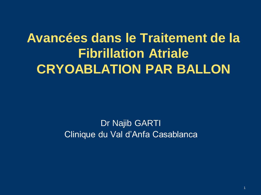## **Avancées dans le Traitement de la Fibrillation Atriale CRYOABLATION PAR BALLON**

Dr Najib GARTI Clinique du Val d'Anfa Casablanca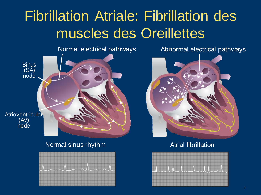# Fibrillation Atriale: Fibrillation des muscles des Oreillettes



Normal sinus rhythm Atrial fibrillation



Normal electrical pathways **Abnormal electrical pathways** 



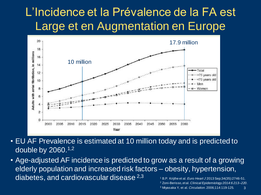### L'Incidence et la Prévalence de la FA est Large et en Augmentation en Europe



- EU AF Prevalence is estimated at 10 million today and is predicted to double by 2060.1,2
- Age-adjusted AF incidence is predicted to grow as a result of a growing elderly population and increased risk factors – obesity, hypertension, diabetes, and cardiovascular disease 2,3 <sup>1</sup> B.P. Krijthe et al. *Euro Heart J* 2013 Sep;34(35):2746-51.
	- <sup>2</sup> Zoni-Berisso, et al. *Clinical Epidemiology 2014:6 213–220*.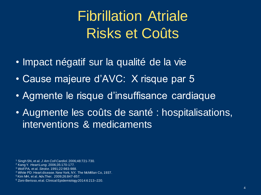# Fibrillation Atriale Risks et Coûts

- Impact négatif sur la qualité de la vie
- Cause majeure d'AVC: X risque par 5
- Agmente le risque d'insuffisance cardiaque
- Augmente les coûts de santé : hospitalisations, interventions & medicaments

<sup>1</sup> Singh SN, et al. *J Am Coll Cardiol.* 2006;48:721-730.

- <sup>3</sup> Wolf PA, et al. *Stroke.* 1991;22:983-988.
- <sup>4</sup> White PD: Heart disease. New York, NY, The McMillan Co, 1937.

<sup>2</sup> Kang Y. *Heart Lung.* 2006;35:170-177.

<sup>5</sup>Kim MH, et al. Adv.Ther. 2009;26:847-857.

<sup>6</sup> Zoni-Berisso, et al. Clinical Epidemiology 2014:6 213–220.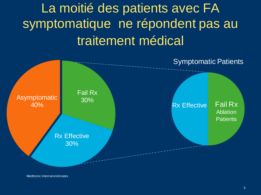## La moitié des patients avec FA symptomatique ne répondent pas au traitement médical



Medtronic internal estimates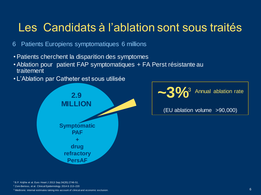### Les Candidats à l'ablation sont sous traités

- 6 Patients Europiens symptomatiques 6 millions
- Patients cherchent la disparition des symptomes
- Ablation pour patient FAP symptomatiques + FA Perst résistante au traitement
- L'Ablation par Catheter est sous utilisée





(EU ablation volume >90,000)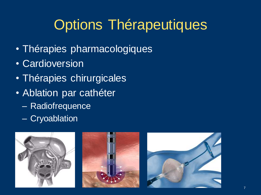# Options Thérapeutiques

- Thérapies pharmacologiques
- Cardioversion
- Thérapies chirurgicales
- Ablation par cathéter
	- Radiofrequence
	- Cryoablation





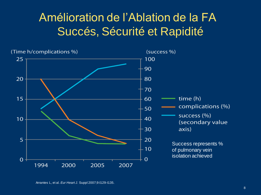### Amélioration de l'Ablation de la FA Succés, Sécurité et Rapidité



Arrantes L, et al. *Eur Heart J.* Suppl 2007;9:I129-I135.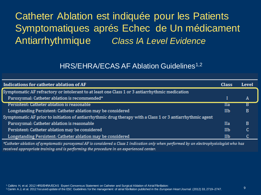### Catheter Ablation est indiquée pour les Patients Symptomatiques aprés Echec de Un médicament Antiarrhythmique *Class IA Level Evidence*

#### HRS/EHRA/ECAS AF Ablation Guidelines<sup>1,2</sup>

| Indications for catheter ablation of AF                                                                    | <b>Class</b> | Level |
|------------------------------------------------------------------------------------------------------------|--------------|-------|
| Symptomatic AF refractory or intolerant to at least one Class 1 or 3 antiarrhythmic medication             |              |       |
| Paroxysmal: Catheter ablation is recommended*                                                              |              | Α     |
| Persistent: Catheter ablation is reasonable                                                                | Ha           | в     |
| Longstanding Persistent: Catheter ablation may be considered                                               | IIb          | в     |
| Symptomatic AF prior to initiation of antiarrhythmic drug therapy with a Class 1 or 3 antiarrhythmic agent |              |       |
| Paroxysmal: Catheter ablation is reasonable                                                                | <b>IIa</b>   | в     |
| Persistent: Catheter ablation may be considered                                                            | IIb          | c     |
| Longstanding Persistent: Catheter ablation may be considered                                               | IIb          |       |

\*Catheter ablation of symptomatic paroxysmal AF is considered a Class 1 indication only when performed by an electrophysiologist who has received appropriate training and is performing the procedure in an experienced center.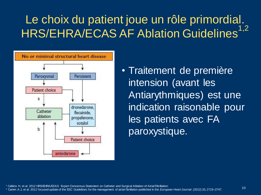## Le choix du patient joue un rôle primordial. HRS/EHRA/ECAS AF Ablation Guidelines<sup>1,2</sup>



• Traitement de première intension (avant les Antiarythmiques) est une indication raisonable pour les patients avec FA paroxystique.

<sup>1</sup> Calkins H, et al. 2012 HRS/EHRA/ECAS Expert Consensus Statement on Catheter and Surgical Ablation of Atrial Fibrillation:

<sup>2</sup>Camm A.J, et al. 2012 focused update of the ESC Guidelines for the management of atrial fibrillation published in the *European Heart Journal.* (2012) 33, 2719–2747. <sup>10</sup>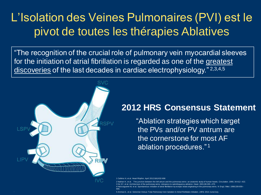### L'Isolation des Veines Pulmonaires (PVI) est le pivot de toutes les thérapies Ablatives

"The recognition of the crucial role of pulmonary vein myocardial sleeves for the initiation of atrial fibrillation is regarded as one of the greatest discoveries of the last decades in cardiac electrophysiology."<sup>2,3,4,5</sup>



### **2012 HRS Consensus Statement**

"Ablation strategies which target the PVs and/or PV antrum are the cornerstone for most AF ablation procedures." <sup>1</sup>

1 Calkins H, et al. Heart Rhythm. April 2012;9(4):632-696

666.

2 Nathan H, et al. 2 Nathan H, et al. The junction between the left atrium and the pulmonary veins: an anatomic study of human hea<br>3 Ho SY, et al. Architecture of the pulmonary veins: relevance to radiofrequency ablation. Heart. 2001;86:26 The junction between the left atrium and the pulmonary veins: an anatomic study of human hearts. Circulation. 4 Haïssaguerre M, et al. Spontaneous initiation of atrial fibrillation by ectopic beats originating in the pulmonary veins. N Engl J Med. 1998;339:659–

5 Ammar,S., et al. Selective Versus Total Pulmonary Vein Isolation In Atrial Fibrillation Ablation. JAFib 2014 June/July.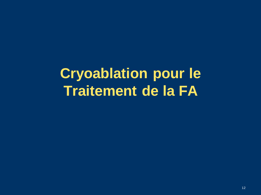## **Cryoablation pour le Traitement de la FA**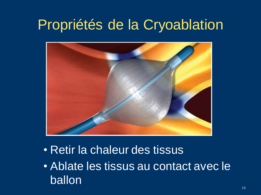## Propriétés de la Cryoablation



- Retir la chaleur des tissus
- Ablate les tissus au contact avec le ballon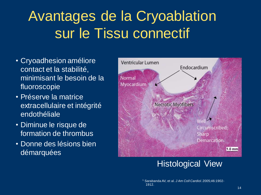# Avantages de la Cryoablation sur le Tissu connectif

- Cryoadhesion améliore contact et la stabilité, minimisant le besoin de la fluoroscopie
- Préserve la matrice extracellulaire et intégrité endothéliale
- Diminue le risque de formation de thrombus
- Donne des lésions bien démarquées



### Histological View

<sup>1</sup> Sarabanda AV, et al. *J Am Coll Cardiol*. 2005;46:1902- 1912.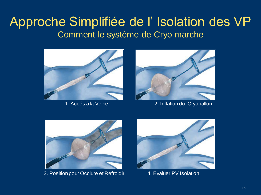### Approche Simplifiée de l' Isolation des VP Comment le système de Cryo marche





1. Accés à la Veine 2. Inflation du Cryoballon



3. Position pour Occlure et Refroidir **4. Evaluer PV Isolation** 

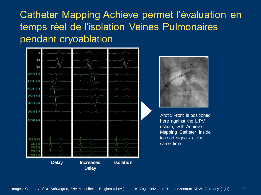Catheter Mapping Achieve permet l'évaluation en temps réel de l'isolation Veines Pulmonaires pendant cryoablation





Arctic Front is positioned here against the LIPV ostium, with Achieve Mapping Catheter inside to read signals at the same time.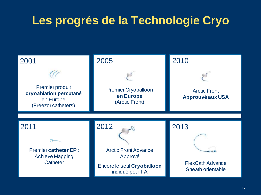## **Les progrés de la Technologie Cryo**

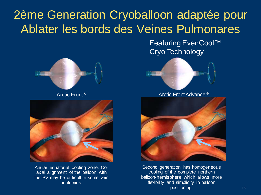## 2ème Generation Cryoballoon adaptée pour Ablater les bords des Veines Pulmonares

Featuring EvenCool™ Cryo Technology





Anular equatorial cooling zone. Coaxial alignment of the balloon with the PV may be difficult in some vein anatomies.



Arctic Front<sup>®</sup> Arctic Front Advance<sup>®</sup>



Second generation has homogeneous cooling of the complete northern balloon-hemisphere which allows more flexibility and simplicity in balloon positioning.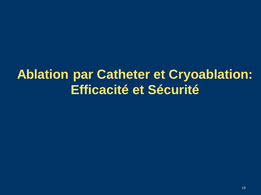## **Ablation par Catheter et Cryoablation: Efficacité et Sécurité**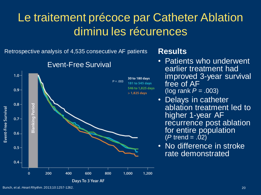### Le traitement précoce par Catheter Ablation diminu les récurences

Retrospective analysis of 4,535 consecutive AF patients



### Event-Free Survival

### **Results**

- Patients who underwent earlier treatment had improved 3-year survival free of AF (log rank *P* = .003)
- Delays in catheter ablation treatment led to higher 1-year AF recurrence post ablation for entire population  $(P$  trend =  $.02)$
- No difference in stroke rate demonstrated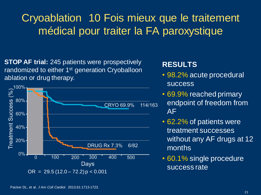### Cryoablation 10 Fois mieux que le traitement médical pour traiter la FA paroxystique

**STOP AF trial:** 245 patients were prospectively randomized to either 1<sup>st</sup> generation Cryoballoon ablation or drug therapy.



### **RESULTS**

- 98.2% acute procedural success
- 69.9% reached primary endpoint of freedom from AF
- 62.2% of patients were treatment successes without any AF drugs at 12 months
- 60.1% single procedure success rate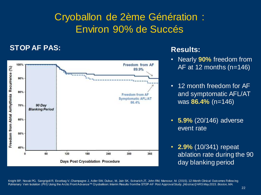### Cryoballon de 2ème Génération : Environ 90% de Succés

#### **STOP AF PAS:**



#### **Results:**

- Nearly **90%** freedom from AF at 12 months (n=146)
- 12 month freedom for AF and symptomatic AFL/AT was **86.4%** (n=146)
- **5.9%** (20/146) adverse event rate
- **2.9%** (10/341) repeat ablation rate during the 90 day blanking period

Knight BP, Novak PG, Sangrigoli R, Essebag V, Champagne J, Adler SW, Dubuc, M, Jain SK, Svinarich JT, John RM, Mansour, M. (2015). 12-Month Clinical Outcomes Follow ing Pulmonary Vein Isolation (PVI) Using the Arctic Front Advance™ Cryoballoon: Interim Results from the STOP-AF Post Approval Study. *[Abstract] HRS May 2015. Boston, MA.*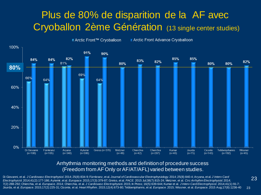### Plus de 80% de disparition de la AF avec Cryoballon 2ème Génération (13 single center studies)



#### Arrhythmia monitoring methods and definition of procedure success (Freedom from AF Only or AF/AT/AFL) varied between studies.

Di Giovanni, et al. *J Cardiovasc Electrophysiol.* 2014; 25(8):834-9; Fürnkranz, et al. *Journal of Cardiovascular Electrophysiology.* 2014 *;*25(8):840-4; Aryana, et al. *J Interv Card Electrophysio*l. 2014;41(2):177-186; Aytemir, et al. *Europace*. 2015;17(3):379-87; Greiss, et al. *PACE*. 2015 Jul;38(7):815-24; Metzner, et al. *Circ Arrhythm Electrophysiol.* 2014; 7(2):288-292; Chierchia, et al. *Europace.* 2014; Chierchia, et al. *J Cardiovasc Electrophysio*l. 2015; In Press; 16(5):639-644; Kumar et al. *J Interv Card Electrophysiol.* 2014;41(1):91-7; Jourda, et al. *Europace.* 2015;17(2):225-31; Ciconte, et al. *Heart Rhythm*. 2015;12(4):673-80; Tebbenjohanns, et al. *Europace.* 2015; Wissner, et al. *Europace.* 2015 Aug;17(8):1236-40

23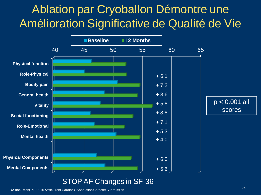### Ablation par Cryoballon Démontre une Amélioration Significative de Qualité de Vie



FDA document P100010 Arctic Front Cardiac Cryoablation Catheter Submission <sup>24</sup>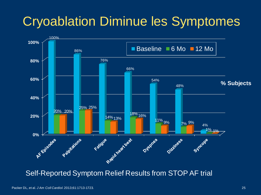## Cryoablation Diminue les Symptomes



Self-Reported Symptom Relief Results from STOP AF trial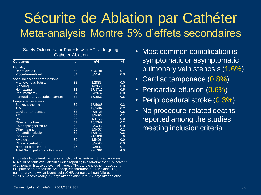## Sécurite de Ablation par Cathéter Meta-analysis Montre 5% d'effets secondaires

| Safety Outcomes for Patients with AF Undergoing |  |  |  |  |  |
|-------------------------------------------------|--|--|--|--|--|
| <b>Catheter Ablation</b>                        |  |  |  |  |  |

| <b>Outcomes</b>                   | t  | n/N     | %   |
|-----------------------------------|----|---------|-----|
| <b>Mortality</b>                  |    |         |     |
| <b>Death overall</b>              | 65 | 42/5781 | 0.7 |
| Procedure-related                 | 64 | 0/5192  | 0.0 |
| Vascular access complications     |    |         |     |
| Arteriovenous fistula             | 32 | 1/2885  | 0.0 |
| <b>Bleeding</b>                   | 33 | 1/2960  | 0.0 |
| Hematoma                          | 38 | 17/3719 | 0.5 |
| Pneumothorax                      | 34 | 0/2974  | 0.0 |
| Femoral artery pseudoaneurysm     | 34 | 15/3032 | 0.5 |
| Periprocedure events              |    |         |     |
| Stroke, ischemic                  | 62 | 17/5665 | 0.3 |
| <b>TIA</b>                        | 60 | 13/5467 | 0.2 |
| Cardiac Tamponade                 | 63 | 45/5723 | 0.8 |
| PE.                               | 60 | 3/5496  | 0.1 |
| <b>DVT</b>                        | 56 | 1/4758  | 0.0 |
| Other embolism                    | 57 | 10/5347 | 0.2 |
| LA-esophageal fistula             | 60 | 0/5496  | 0.0 |
| Other fistula                     | 58 | 3/5407  | 0.1 |
| Pericardial effusion              | 64 | 36/5719 | 0.6 |
| PV stenosis*                      | 65 | 91/5831 | 1.6 |
| AV block                          | 60 | 1/5496  | 0.0 |
| <b>CHF</b> exacerbation           | 60 | 0/5496  | 0.0 |
| Need for a pacemaker              | 46 | 4/3902  | 0.1 |
| Total No. of patients with events | 28 | 97/1964 | 4.9 |

t indicates No. of treatment groups; n, No. of patients with this adverse event; N, No. of patients evaluated in studies reporting this adverse event; %, percent of patients with adverse event of interest; TIA, transient ischemic accident; PE, pulmonary embolism; DVT, deep vein thrombosis; LA, left atrial; PV, pulmonary vein; AV, atrioventricular; CHF, congestive heart failure. \*> 70% Stenosis (early, < 7 days after ablation; late, < 7 days after ablation).

- Most common complication is symptomatic or asymptomatic pulmonary vein stenosis (1.6%)
- Cardiac tamponade (0.8%)
- Pericardial effusion (0.6%)
- Periprocedural stroke (0.3%)
- No procedure-related deaths reported among the studies meeting inclusion criteria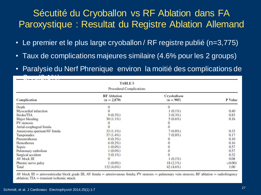### Sécutité du Cryoballon vs RF Ablation dans FA Paroxystique : Resultat du Registre Ablation Allemand

- Le premier et le plus large cryoballon / RF registre publié (n=3,775)
- Taux de complications majeures similaire (4.6% pour les 2 groups)
- Paralysie du Nerf Phrenique environ la moitié des complications de

| <b>TABLE 5</b>                  |                                     |                            |         |  |  |  |  |  |
|---------------------------------|-------------------------------------|----------------------------|---------|--|--|--|--|--|
| <b>Procedural Complications</b> |                                     |                            |         |  |  |  |  |  |
| <b>Complication</b>             | <b>RF</b> Ablation<br>$(n = 2,870)$ | Cryoballoon<br>$(n = 905)$ | P Value |  |  |  |  |  |
| Death                           |                                     | $\Omega$                   |         |  |  |  |  |  |
| Myocardial infarction           |                                     | $1(0.1\%)$                 | 0.40    |  |  |  |  |  |
| Stroke/TIA                      | $9(0.3\%)$                          | $3(0.3\%)$                 | 0.83    |  |  |  |  |  |
| Major bleeding                  | $30(1.1\%)$                         | $5(0.6\%)$                 | 0.16    |  |  |  |  |  |
| PV stenosis                     | 0                                   |                            |         |  |  |  |  |  |
| Atrial-esophageal fistula       |                                     |                            |         |  |  |  |  |  |
| Aneurysma spurium/AV fistula    | 33 (1.1%)                           | $7(0.8\%)$                 | 0.33    |  |  |  |  |  |
| Tamponades                      | $37(1.4\%)$                         | $7(0.8\%)$                 | 0.17    |  |  |  |  |  |
| Pneumothorax                    | $8(0.3\%)$                          |                            | 0.10    |  |  |  |  |  |
| Hemothorax                      | $6(0.2\%)$                          |                            | 0.16    |  |  |  |  |  |
| Sepsis                          | $1(0.0\%)$                          |                            | 0.57    |  |  |  |  |  |
| Pulmonary embolism              | $1(0.0\%)$                          |                            | 0.57    |  |  |  |  |  |
| Surgical accident               | $3(0.1\%)$                          |                            | 0.32    |  |  |  |  |  |
| AV block III                    |                                     | $1(0.1\%)$                 | 0.08    |  |  |  |  |  |
| Phrenic nerve palsy             | $1(0.0\%)$                          | $18(2.1\%)$                | < 0.001 |  |  |  |  |  |
| Total                           | $132(4.6\%)$                        | $42(4.6\%)$                | 1.00    |  |  |  |  |  |

AV block III = atrioventricular block grade III; AV fistula = arteriovenous fistula; PV stenosis = pulmonary vein stenosis; RF ablation = radiofreqency ablation:  $TIA =$  transient ischemic attack.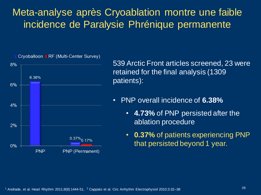### Meta-analyse après Cryoablation montre une faible incidence de Paralysie Phrénique permanente



539 Arctic Front articles screened, 23 were retained for the final analysis (1309 patients):

- PNP overall incidence of **6.38%** 
	- **4.73%** of PNP persisted after the ablation procedure
	- **0.37%** of patients experiencing PNP that persisted beyond 1 year.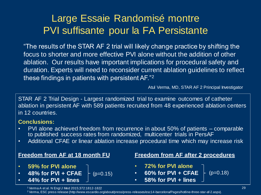### Large Essaie Randomisé montre PVI suffisante pour la FA Persistante

"The results of the STAR AF 2 trial will likely change practice by shifting the focus to shorter and more effective PVI alone without the addition of other ablation. Our results have important implications for procedural safety and duration. Experts will need to reconsider current ablation guidelines to reflect these findings in patients with persistent AF."<sup>2</sup>

Atul Verma, MD, STAR AF 2 Principal Investigator

STAR AF 2 Trial Design - Largest randomized trial to examine outcomes of catheter ablation in persistent AF with 589 patients recruited from 48 experienced ablation centers in 12 countries.

#### **Conclusions:**

- PVI alone achieved freedom from recurrence in about 50% of patients comparable to published success rates from randomized, multicenter trials in PersAF
- Additional CFAE or linear ablation increase procedural time which may increase risk

#### **Freedom from AF at 18 month FU**

- **59% for PVI alone**
- **48% for PVI + CFAE**
- **44% for PVI + lines**

#### **Freedom from AF after 2 procedures**

- **72% for PVI alone**
- $(p=0.15)$   **60% for PVI + CFAE**  $\leftarrow$  (p=0.18)
	- **58% for PVI + lines**

<sup>1</sup>Verma A et al. N Engl J Med 2015;372:1812-1822

<sup>2</sup>Verma, ESC press release (http://www.escardio.org/about/press/press-releases/esc14-barcelona/Pages/hotline-three-star-af-2.aspx).